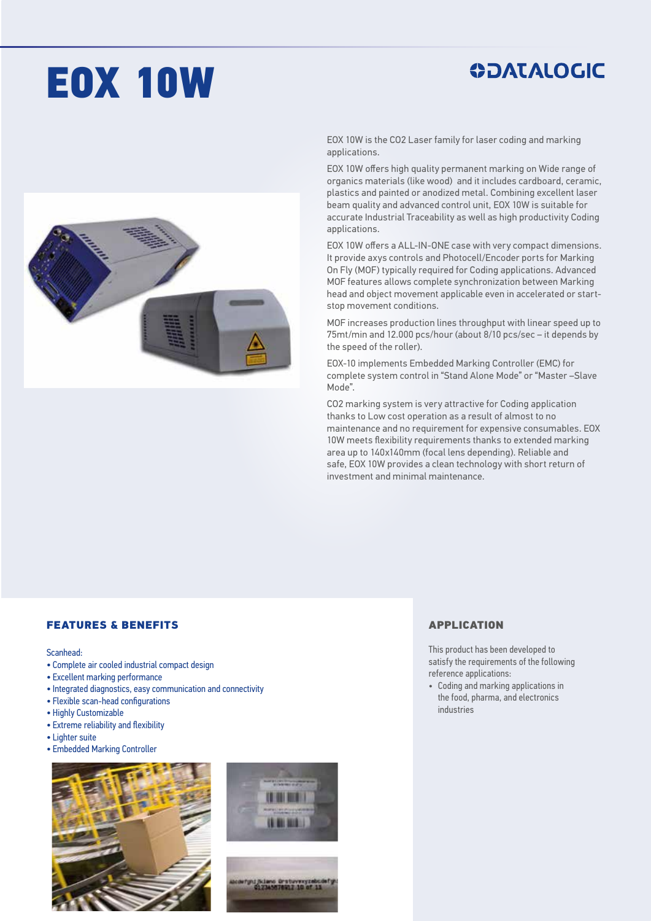# EOX 10W

## **ODATALOGIC**



EOX 10W is the CO2 Laser family for laser coding and marking applications.

EOX 10W offers high quality permanent marking on Wide range of organics materials (like wood) and it includes cardboard, ceramic, plastics and painted or anodized metal. Combining excellent laser beam quality and advanced control unit, EOX 10W is suitable for accurate Industrial Traceability as well as high productivity Coding applications.

EOX 10W offers a ALL-IN-ONE case with very compact dimensions. It provide axys controls and Photocell/Encoder ports for Marking On Fly (MOF) typically required for Coding applications. Advanced MOF features allows complete synchronization between Marking head and object movement applicable even in accelerated or startstop movement conditions.

MOF increases production lines throughput with linear speed up to 75mt/min and 12.000 pcs/hour (about 8/10 pcs/sec – it depends by the speed of the roller).

EOX-10 implements Embedded Marking Controller (EMC) for complete system control in "Stand Alone Mode" or "Master –Slave Mode".

CO2 marking system is very attractive for Coding application thanks to Low cost operation as a result of almost to no maintenance and no requirement for expensive consumables. EOX 10W meets flexibility requirements thanks to extended marking area up to 140x140mm (focal lens depending). Reliable and safe, EOX 10W provides a clean technology with short return of investment and minimal maintenance.

### FEATURES & BENEFITS

#### Scanhead:

- Complete air cooled industrial compact design
- Excellent marking performance
- Integrated diagnostics, easy communication and connectivity
- Flexible scan-head configurations
- Highly Customizable
- Extreme reliability and flexibility
- Lighter suite
- Embedded Marking Controller





### APPLICATION

This product has been developed to satisfy the requirements of the following reference applications:

• Coding and marking applications in the food, pharma, and electronics industries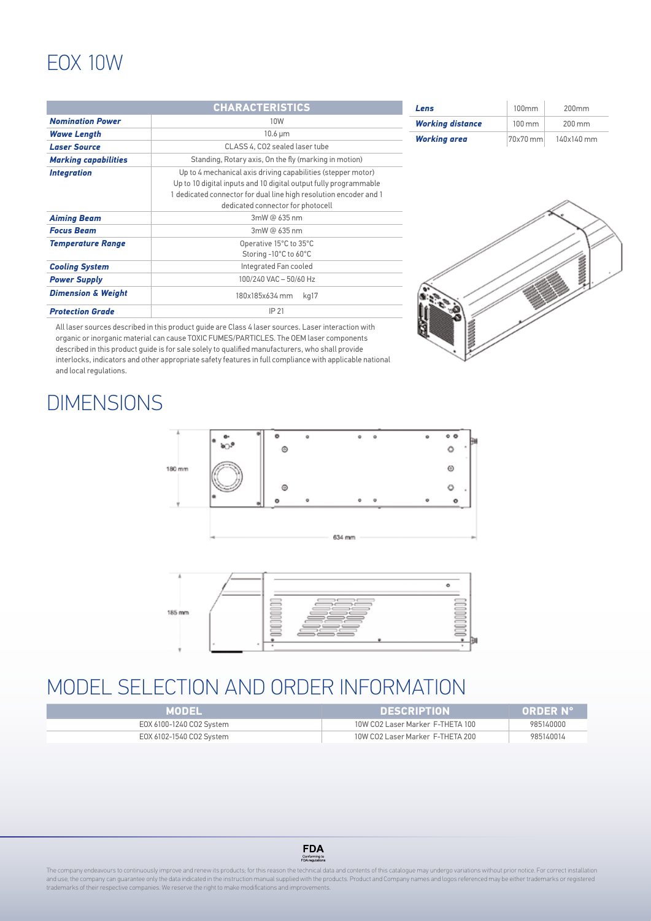## EOX 10W

|                               | <b>CHARACTERISTICS</b>                                                                                                                                                                                                                   | Lens                    | 100mm    | 200mm      |
|-------------------------------|------------------------------------------------------------------------------------------------------------------------------------------------------------------------------------------------------------------------------------------|-------------------------|----------|------------|
| <b>Nomination Power</b>       | 10W                                                                                                                                                                                                                                      | <b>Working distance</b> | 100 mm   | 200 mm     |
| <b>Wawe Length</b>            | $10.6 \mu m$                                                                                                                                                                                                                             | <b>Working area</b>     | 70x70 mm | 140x140 mm |
| <b>Laser Source</b>           | CLASS 4. CO2 sealed laser tube                                                                                                                                                                                                           |                         |          |            |
| <b>Marking capabilities</b>   | Standing, Rotary axis, On the fly (marking in motion)                                                                                                                                                                                    |                         |          |            |
| <b>Integration</b>            | Up to 4 mechanical axis driving capabilities (stepper motor)<br>Up to 10 digital inputs and 10 digital output fully programmable<br>dedicated connector for dual line high resolution encoder and 1<br>dedicated connector for photocell |                         |          |            |
| <b>Aiming Beam</b>            | 3mW @ 635 nm                                                                                                                                                                                                                             |                         |          |            |
| <b>Focus Beam</b>             | 3mW @ 635 nm                                                                                                                                                                                                                             |                         |          |            |
| <b>Temperature Range</b>      | Operative 15°C to 35°C<br>Storing -10°C to 60°C                                                                                                                                                                                          |                         |          |            |
| <b>Cooling System</b>         | Integrated Fan cooled                                                                                                                                                                                                                    |                         |          | 8888888    |
| <b>Power Supply</b>           | 100/240 VAC - 50/60 Hz                                                                                                                                                                                                                   |                         |          |            |
| <b>Dimension &amp; Weight</b> | 180x185x634 mm kg17                                                                                                                                                                                                                      |                         |          |            |
| <b>Protection Grade</b>       | IP 21                                                                                                                                                                                                                                    |                         |          |            |

E

All laser sources described in this product guide are Class 4 laser sources. Laser interaction with organic or inorganic material can cause TOXIC FUMES/PARTICLES. The OEM laser components described in this product guide is for sale solely to qualified manufacturers, who shall provide interlocks, indicators and other appropriate safety features in full compliance with applicable national and local regulations.

## **DIMENSIONS**





## MODEL SELECTION AND ORDER INFORMATION

| MODEL                    | <b>DESCRIPTION</b>               | <b>ORDER Nº</b> |
|--------------------------|----------------------------------|-----------------|
| EOX 6100-1240 CO2 System | 10W CO2 Laser Marker F-THETA 100 | 985140000       |
| EOX 6102-1540 CO2 System | 10W CO2 Laser Marker F-THETA 200 | 985140014       |



The company endeavours to continuously improve and renew its products; for this reason the technical data and contents of this catalogue may undergo variations without prior notice. For correct installation and use, the company can guarantee only the data indicated in the instruction manual supplied with the products. Product and Company names and logos referenced may be either trademarks or registered trademarks of their respective companies. We reserve the right to make modifications and improvements.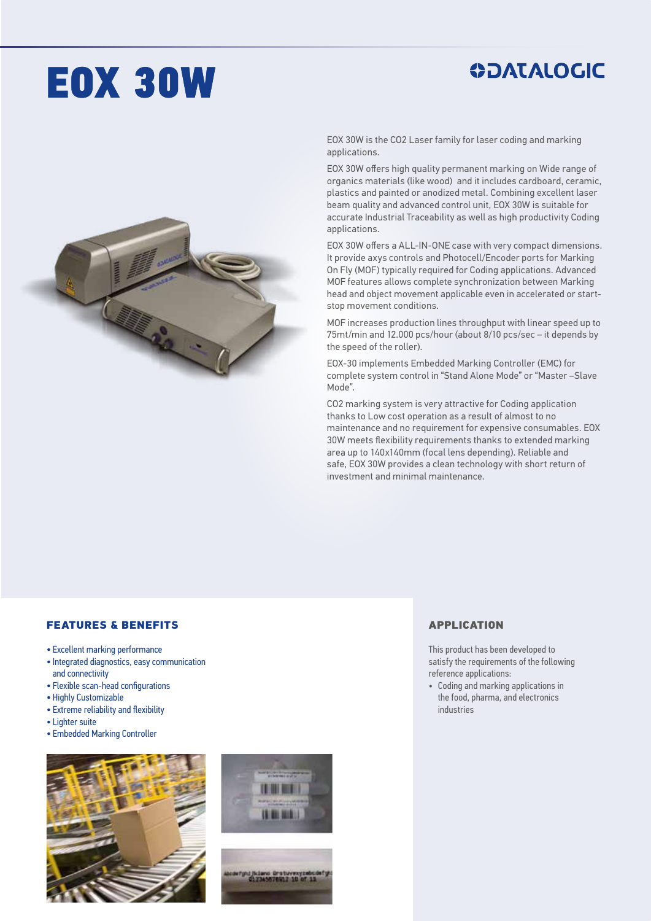## EOX 30W

## **ODATALOGIC**



EOX 30W is the CO2 Laser family for laser coding and marking applications.

EOX 30W offers high quality permanent marking on Wide range of organics materials (like wood) and it includes cardboard, ceramic, plastics and painted or anodized metal. Combining excellent laser beam quality and advanced control unit, EOX 30W is suitable for accurate Industrial Traceability as well as high productivity Coding applications.

EOX 30W offers a ALL-IN-ONE case with very compact dimensions. It provide axys controls and Photocell/Encoder ports for Marking On Fly (MOF) typically required for Coding applications. Advanced MOF features allows complete synchronization between Marking head and object movement applicable even in accelerated or startstop movement conditions.

MOF increases production lines throughput with linear speed up to 75mt/min and 12.000 pcs/hour (about 8/10 pcs/sec – it depends by the speed of the roller).

EOX-30 implements Embedded Marking Controller (EMC) for complete system control in "Stand Alone Mode" or "Master –Slave Mode".

CO2 marking system is very attractive for Coding application thanks to Low cost operation as a result of almost to no maintenance and no requirement for expensive consumables. EOX 30W meets flexibility requirements thanks to extended marking area up to 140x140mm (focal lens depending). Reliable and safe, EOX 30W provides a clean technology with short return of investment and minimal maintenance.

### FEATURES & BENEFITS

- Excellent marking performance
- Integrated diagnostics, easy communication and connectivity
- Flexible scan-head configurations
- Highly Customizable
- Extreme reliability and flexibility
- Lighter suite
- Embedded Marking Controller





### APPLICATION

This product has been developed to satisfy the requirements of the following reference applications:

• Coding and marking applications in the food, pharma, and electronics industries